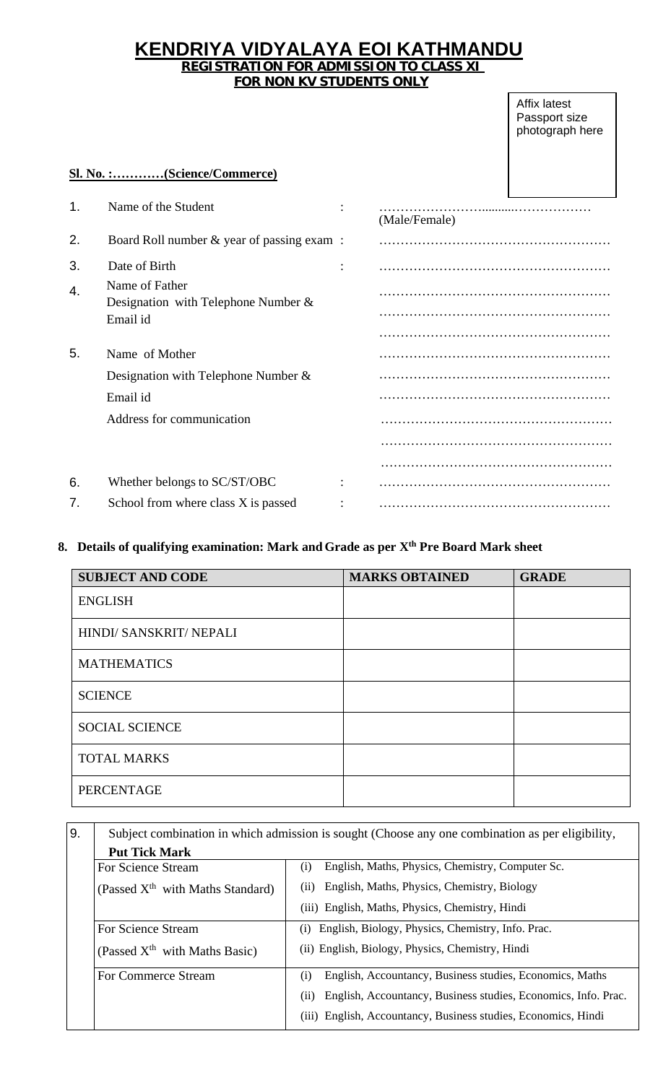## **KENDRIYA VIDYALAYA EOI KATHMANDU REGISTRATION FOR ADMISSION TO CLASS XI FOR NON KV STUDENTS ONLY**

#### Affix latest Passport size photograph here

## **Sl. No. :…………(Science/Commerce)**

| 1. | Name of the Student                                      | (Male/Female) |
|----|----------------------------------------------------------|---------------|
| 2. | Board Roll number & year of passing exam :               |               |
| 3. | Date of Birth                                            |               |
| 4. | Name of Father<br>Designation with Telephone Number $\&$ |               |
|    | Email id                                                 |               |
|    |                                                          |               |
| 5. | Name of Mother                                           |               |
|    | Designation with Telephone Number $\&$                   |               |
|    | Email id                                                 |               |
|    | Address for communication                                |               |
|    |                                                          |               |
|    |                                                          |               |
| 6. | Whether belongs to SC/ST/OBC                             |               |
| 7. | School from where class X is passed                      |               |

## **8. Details of qualifying examination: Mark andGrade as per Xth Pre Board Mark sheet**

| <b>SUBJECT AND CODE</b> | <b>MARKS OBTAINED</b> | <b>GRADE</b> |
|-------------------------|-----------------------|--------------|
| <b>ENGLISH</b>          |                       |              |
| HINDI/ SANSKRIT/ NEPALI |                       |              |
| <b>MATHEMATICS</b>      |                       |              |
| <b>SCIENCE</b>          |                       |              |
| <b>SOCIAL SCIENCE</b>   |                       |              |
| <b>TOTAL MARKS</b>      |                       |              |
| <b>PERCENTAGE</b>       |                       |              |

#### 9. Subject combination in which admission is sought (Choose any one combination as per eligibility, **Put Tick Mark** For Science Stream (Passed  $X<sup>th</sup>$  with Maths Standard) (i) English, Maths, Physics, Chemistry, Computer Sc. (ii) English, Maths, Physics, Chemistry, Biology (iii) English, Maths, Physics, Chemistry, Hindi For Science Stream (Passed  $X<sup>th</sup>$  with Maths Basic) (i) English, Biology, Physics, Chemistry, Info. Prac. (ii) English, Biology, Physics, Chemistry, Hindi For Commerce Stream (i) English, Accountancy, Business studies, Economics, Maths (ii) English, Accountancy, Business studies, Economics, Info. Prac.

(iii) English, Accountancy, Business studies, Economics, Hindi